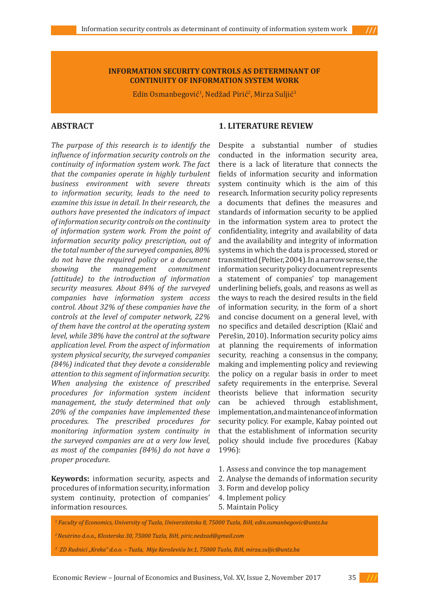#### **INFORMATION SECURITY CONTROLS AS DETERMINANT OF CONTINUITY OF INFORMATION SYSTEM WORK**

Edin Osmanbegović<sup>i</sup>, Nedžad Pirić<sup>2</sup>, Mirza Suljić<sup>3</sup>

### **ABSTRACT**

*The purpose of this research is to identify the influence of information security controls on the continuity of information system work. The fact that the companies operate in highly turbulent business environment with severe threats to information security, leads to the need to examine this issue in detail. In their research, the authors have presented the indicators of impact of information security controls on the continuity of information system work. From the point of information security policy prescription, out of the total number of the surveyed companies, 80% do not have the required policy or a document showing the management commitment (attitude) to the introduction of information security measures. About 84% of the surveyed companies have information system access control. About 32% of these companies have the controls at the level of computer network, 22% of them have the control at the operating system level, while 38% have the control at the software application level. From the aspect of information system physical security, the surveyed companies (84%) indicated that they devote a considerable attention to this segment of information security. When analysing the existence of prescribed procedures for information system incident management, the study determined that only 20% of the companies have implemented these procedures. The prescribed procedures for monitoring information system continuity in the surveyed companies are at a very low level, as most of the companies (84%) do not have a proper procedure.*

**Keywords:** information security, aspects and procedures of information security, information system continuity, protection of companies' information resources.

#### **1. LITERATURE REVIEW**

Despite a substantial number of studies conducted in the information security area, there is a lack of literature that connects the fields of information security and information system continuity which is the aim of this research. Information security policy represents a documents that defines the measures and standards of information security to be applied in the information system area to protect the confidentiality, integrity and availability of data and the availability and integrity of information systems in which the data is processed, stored or transmitted (Peltier, 2004). In a narrow sense, the information security policy document represents a statement of companies' top management underlining beliefs, goals, and reasons as well as the ways to reach the desired results in the field of information security, in the form of a short and concise document on a general level, with no specifics and detailed description (Klaić and Perešin, 2010). Information security policy aims at planning the requirements of information security, reaching a consensus in the company, making and implementing policy and reviewing the policy on a regular basis in order to meet safety requirements in the enterprise. Several theorists believe that information security can be achieved through establishment, implementation, and maintenance of information security policy. For example, Kabay pointed out that the establishment of information security policy should include five procedures (Kabay 1996):

- 1. Assess and convince the top management
- 2. Analyse the demands of information security
- 3. Form and develop policy
- 4. Implement policy
- 5. Maintain Policy

*1 Faculty of Economics, University of Tuzla, Univerzitetska 8, 75000 Tuzla, BiH, edin.osmanbegovic@untz.ba*

*3 ZD Rudnici "Kreka" d.o.o. – Tuzla, Mije Keroševića br.1, 75000 Tuzla, BiH, mirza.suljic@untz.ba*

Economic Review – Journal of Economics and Business, Vol. XV, Issue 2, November 2017 35 **///**

*<sup>2</sup> Neutrino d.o.o., Klosterska 30, 75000 Tuzla, BiH, piric.nedzad@gmail.com*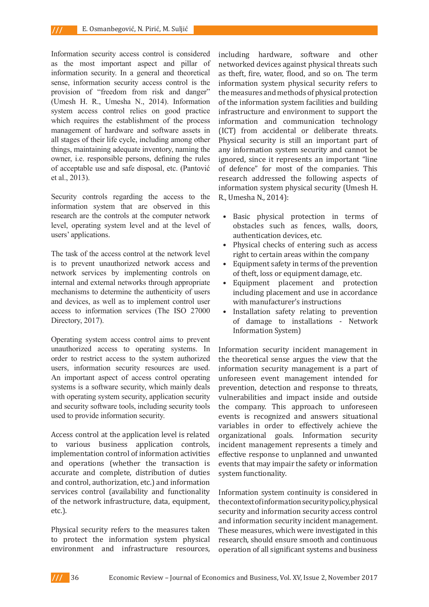Information security access control is considered as the most important aspect and pillar of information security. In a general and theoretical sense, information security access control is the provision of "freedom from risk and danger" (Umesh H. R., Umesha N., 2014). Information system access control relies on good practice which requires the establishment of the process management of hardware and software assets in all stages of their life cycle, including among other things, maintaining adequate inventory, naming the owner, i.e. responsible persons, defining the rules of acceptable use and safe disposal, etc. (Pantović et al., 2013).

Security controls regarding the access to the information system that are observed in this research are the controls at the computer network level, operating system level and at the level of users' applications.

The task of the access control at the network level is to prevent unauthorized network access and network services by implementing controls on internal and external networks through appropriate mechanisms to determine the authenticity of users and devices, as well as to implement control user access to information services (The ISO 27000 Directory, 2017).

Operating system access control aims to prevent unauthorized access to operating systems. In order to restrict access to the system authorized users, information security resources are used. An important aspect of access control operating systems is a software security, which mainly deals with operating system security, application security and security software tools, including security tools used to provide information security.

Access control at the application level is related to various business application controls, implementation control of information activities and operations (whether the transaction is accurate and complete, distribution of duties and control, authorization, etc.) and information services control (availability and functionality of the network infrastructure, data, equipment, etc.).

Physical security refers to the measures taken to protect the information system physical environment and infrastructure resources, including hardware, software and other networked devices against physical threats such as theft, fire, water, flood, and so on. The term information system physical security refers to the measures and methods of physical protection of the information system facilities and building infrastructure and environment to support the information and communication technology (ICT) from accidental or deliberate threats. Physical security is still an important part of any information system security and cannot be ignored, since it represents an important "line of defence" for most of the companies. This research addressed the following aspects of information system physical security (Umesh H. R., Umesha N., 2014):

- Basic physical protection in terms of obstacles such as fences, walls, doors, authentication devices, etc.
- Physical checks of entering such as access right to certain areas within the company
- Equipment safety in terms of the prevention of theft, loss or equipment damage, etc.
- Equipment placement and protection including placement and use in accordance with manufacturer's instructions
- Installation safety relating to prevention of damage to installations - Network Information System)

Information security incident management in the theoretical sense argues the view that the information security management is a part of unforeseen event management intended for prevention, detection and response to threats, vulnerabilities and impact inside and outside the company. This approach to unforeseen events is recognized and answers situational variables in order to effectively achieve the organizational goals. Information security incident management represents a timely and effective response to unplanned and unwanted events that may impair the safety or information system functionality.

Information system continuity is considered in the context of information security policy, physical security and information security access control and information security incident management. These measures, which were investigated in this research, should ensure smooth and continuous operation of all significant systems and business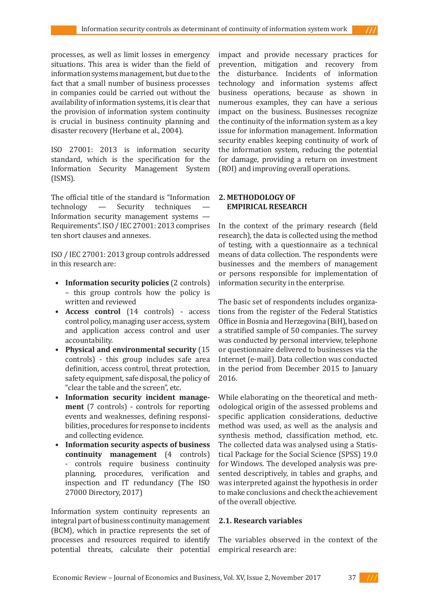processes, as well as limit losses in emergency situations. This area is wider than the field of information systems management, but due to the fact that a small number of business processes in companies could be carried out without the availability of information systems, it is clear that the provision of information system continuity is crucial in business continuity planning and disaster recovery (Herbane et al., 2004).

ISO 27001: 2013 is information security standard, which is the specification for the Information Security Management System (ISMS).

The official title of the standard is "Information<br>technology  $\qquad$  Security techniques  $\qquad$ techniques Information security management systems — Requirements". ISO / IEC 27001: 2013 comprises ten short clauses and annexes.

ISO / IEC 27001: 2013 group controls addressed in this research are:

- **• Information security policies** (2 controls) – this group controls how the policy is written and reviewed
- **• Access control** (14 controls) access control policy, managing user access, system and application access control and user accountability.
- **• Physical and environmental security** (15 controls) - this group includes safe area definition, access control, threat protection, safety equipment, safe disposal, the policy of "clear the table and the screen", etc.
- **• Information security incident management** (7 controls) - controls for reporting events and weaknesses, defining responsibilities, procedures for response to incidents and collecting evidence.
- **• Information security aspects of business continuity management** (4 controls) - controls require business continuity planning, procedures, verification and inspection and IT redundancy (The ISO 27000 Directory, 2017)

Information system continuity represents an integral part of business continuity management (BCM), which in practice represents the set of processes and resources required to identify potential threats, calculate their potential impact and provide necessary practices for prevention, mitigation and recovery from the disturbance. Incidents of information technology and information systems affect business operations, because as shown in numerous examples, they can have a serious impact on the business. Businesses recognize the continuity of the information system as a key issue for information management. Information security enables keeping continuity of work of the information system, reducing the potential for damage, providing a return on investment (ROI) and improving overall operations.

### **2. METHODOLOGY OF EMPIRICAL RESEARCH**

In the context of the primary research (field research), the data is collected using the method of testing, with a questionnaire as a technical means of data collection. The respondents were businesses and the members of management or persons responsible for implementation of information security in the enterprise.

The basic set of respondents includes organizations from the register of the Federal Statistics Office in Bosnia and Herzegovina (BiH), based on a stratified sample of 50 companies. The survey was conducted by personal interview, telephone or questionnaire delivered to businesses via the Internet (e-mail). Data collection was conducted in the period from December 2015 to January 2016.

While elaborating on the theoretical and methodological origin of the assessed problems and specific application considerations, deductive method was used, as well as the analysis and synthesis method, classification method, etc. The collected data was analysed using a Statistical Package for the Social Science (SPSS) 19.0 for Windows. The developed analysis was presented descriptively, in tables and graphs, and was interpreted against the hypothesis in order to make conclusions and check the achievement of the overall objective.

## **2.1. Research variables**

The variables observed in the context of the empirical research are: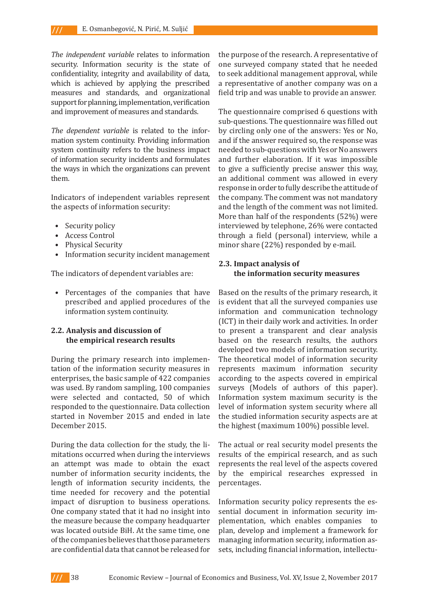*The independent variable* relates to information security. Information security is the state of confidentiality, integrity and availability of data, which is achieved by applying the prescribed measures and standards, and organizational support for planning, implementation, verification and improvement of measures and standards.

*The dependent variable* is related to the information system continuity. Providing information system continuity refers to the business impact of information security incidents and formulates the ways in which the organizations can prevent them.

Indicators of independent variables represent the aspects of information security:

- Security policy
- Access Control
- Physical Security
- Information security incident management

The indicators of dependent variables are:

• Percentages of the companies that have prescribed and applied procedures of the information system continuity.

## **2.2. Analysis and discussion of the empirical research results**

During the primary research into implementation of the information security measures in enterprises, the basic sample of 422 companies was used. By random sampling, 100 companies were selected and contacted, 50 of which responded to the questionnaire. Data collection started in November 2015 and ended in late December 2015.

During the data collection for the study, the limitations occurred when during the interviews an attempt was made to obtain the exact number of information security incidents, the length of information security incidents, the time needed for recovery and the potential impact of disruption to business operations. One company stated that it had no insight into the measure because the company headquarter was located outside BiH. At the same time, one of the companies believes that those parameters are confidential data that cannot be released for

the purpose of the research. A representative of one surveyed company stated that he needed to seek additional management approval, while a representative of another company was on a field trip and was unable to provide an answer.

The questionnaire comprised 6 questions with sub-questions. The questionnaire was filled out by circling only one of the answers: Yes or No, and if the answer required so, the response was needed to sub-questions with Yes or No answers and further elaboration. If it was impossible to give a sufficiently precise answer this way, an additional comment was allowed in every response in order to fully describe the attitude of the company. The comment was not mandatory and the length of the comment was not limited. More than half of the respondents (52%) were interviewed by telephone, 26% were contacted through a field (personal) interview, while a minor share (22%) responded by e-mail.

# **2.3. Impact analysis of the information security measures**

Based on the results of the primary research, it is evident that all the surveyed companies use information and communication technology (ICT) in their daily work and activities. In order to present a transparent and clear analysis based on the research results, the authors developed two models of information security. The theoretical model of information security represents maximum information security according to the aspects covered in empirical surveys (Models of authors of this paper). Information system maximum security is the level of information system security where all the studied information security aspects are at the highest (maximum 100%) possible level.

The actual or real security model presents the results of the empirical research, and as such represents the real level of the aspects covered by the empirical researches expressed in percentages.

Information security policy represents the essential document in information security implementation, which enables companies to plan, develop and implement a framework for managing information security, information assets, including financial information, intellectu-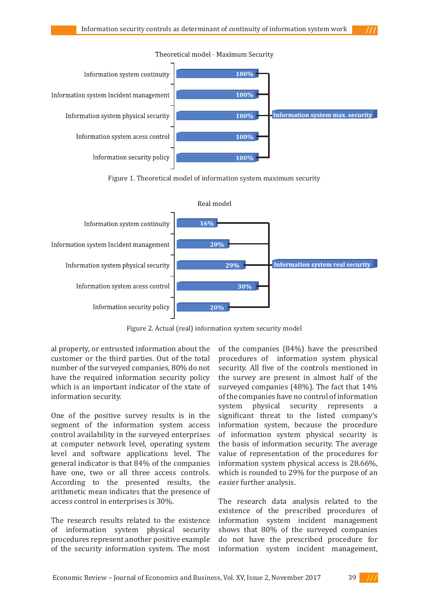

Figure 1. Theoretical model of information system maximum security



Figure 2. Actual (real) information system security model

al property, or entrusted information about the customer or the third parties. Out of the total number of the surveyed companies, 80% do not have the required information security policy which is an important indicator of the state of information security.

One of the positive survey results is in the segment of the information system access control availability in the surveyed enterprises at computer network level, operating system level and software applications level. The general indicator is that 84% of the companies have one, two or all three access controls. According to the presented results, the arithmetic mean indicates that the presence of access control in enterprises is 30%.

The research results related to the existence of information system physical security procedures represent another positive example of the security information system. The most of the companies (84%) have the prescribed procedures of information system physical security. All five of the controls mentioned in the survey are present in almost half of the surveyed companies (48%). The fact that 14% of the companies have no control of information system physical security represents significant threat to the listed company's information system, because the procedure of information system physical security is the basis of information security. The average value of representation of the procedures for information system physical access is 28.66%, which is rounded to 29% for the purpose of an easier further analysis.

The research data analysis related to the existence of the prescribed procedures of information system incident management shows that 80% of the surveyed companies do not have the prescribed procedure for information system incident management,

Economic Review – Journal of Economics and Business, Vol. XV, Issue 2, November 2017 39 **///**

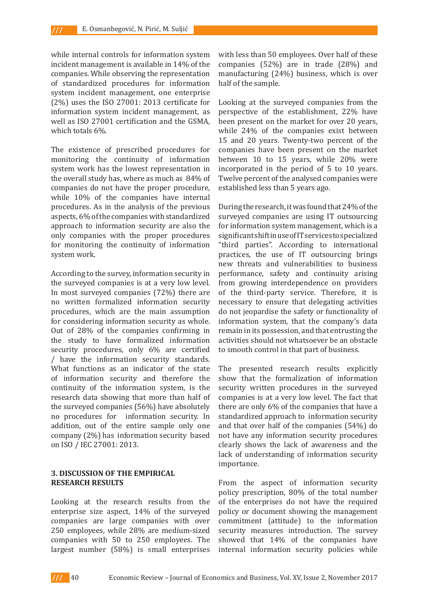while internal controls for information system incident management is available in 14% of the companies. While observing the representation of standardized procedures for information system incident management, one enterprise (2%) uses the ISO 27001: 2013 certificate for information system incident management, as well as ISO 27001 certification and the GSMA, which totals 6%.

The existence of prescribed procedures for monitoring the continuity of information system work has the lowest representation in the overall study has, where as much as 84% of companies do not have the proper procedure, while 10% of the companies have internal procedures. As in the analysis of the previous aspects, 6% of the companies with standardized approach to information security are also the only companies with the proper procedures for monitoring the continuity of information system work.

According to the survey, information security in the surveyed companies is at a very low level. In most surveyed companies (72%) there are no written formalized information security procedures, which are the main assumption for considering information security as whole. Out of 28% of the companies confirming in the study to have formalized information security procedures, only 6% are certified / have the information security standards. What functions as an indicator of the state of information security and therefore the continuity of the information system, is the research data showing that more than half of the surveyed companies (56%) have absolutely no procedures for information security. In addition, out of the entire sample only one company (2%) has information security based on ISO / IEC 27001: 2013.

#### **3. DISCUSSION OF THE EMPIRICAL RESEARCH RESULTS**

Looking at the research results from the enterprise size aspect, 14% of the surveyed companies are large companies with over 250 employees, while 28% are medium-sized companies with 50 to 250 employees. The largest number (58%) is small enterprises

with less than 50 employees. Over half of these companies (52%) are in trade (28%) and manufacturing (24%) business, which is over half of the sample.

Looking at the surveyed companies from the perspective of the establishment, 22% have been present on the market for over 20 years, while 24% of the companies exist between 15 and 20 years. Twenty-two percent of the companies have been present on the market between 10 to 15 years, while 20% were incorporated in the period of 5 to 10 years. Twelve percent of the analysed companies were established less than 5 years ago.

During the research, it was found that 24% of the surveyed companies are using IT outsourcing for information system management, which is a significant shift in use of IT services to specialized "third parties". According to international practices, the use of IT outsourcing brings new threats and vulnerabilities to business performance, safety and continuity arising from growing interdependence on providers of the third-party service. Therefore, it is necessary to ensure that delegating activities do not jeopardise the safety or functionality of information system, that the company's data remain in its possession, and that entrusting the activities should not whatsoever be an obstacle to smooth control in that part of business.

The presented research results explicitly show that the formalization of information security written procedures in the surveyed companies is at a very low level. The fact that there are only 6% of the companies that have a standardized approach to information security and that over half of the companies (54%) do not have any information security procedures clearly shows the lack of awareness and the lack of understanding of information security importance.

From the aspect of information security policy prescription, 80% of the total number of the enterprises do not have the required policy or document showing the management commitment (attitude) to the information security measures introduction. The survey showed that 14% of the companies have internal information security policies while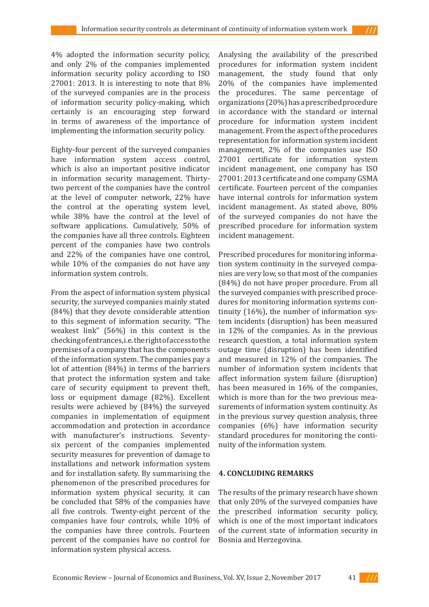4% adopted the information security policy, and only 2% of the companies implemented information security policy according to ISO 27001: 2013. It is interesting to note that 8% of the surveyed companies are in the process of information security policy-making, which certainly is an encouraging step forward in terms of awareness of the importance of implementing the information security policy.

Eighty-four percent of the surveyed companies have information system access control, which is also an important positive indicator in information security management. Thirtytwo percent of the companies have the control at the level of computer network, 22% have the control at the operating system level, while 38% have the control at the level of software applications. Cumulatively, 50% of the companies have all three controls. Eighteen percent of the companies have two controls and 22% of the companies have one control, while 10% of the companies do not have any information system controls.

From the aspect of information system physical security, the surveyed companies mainly stated (84%) that they devote considerable attention to this segment of information security. "The weakest link" (56%) in this context is the checking of entrances, i.e. the right of access to the premises of a company that has the components of the information system. The companies pay a lot of attention (84%) in terms of the barriers that protect the information system and take care of security equipment to prevent theft, loss or equipment damage (82%). Excellent results were achieved by (84%) the surveyed companies in implementation of equipment accommodation and protection in accordance with manufacturer's instructions. Seventysix percent of the companies implemented security measures for prevention of damage to installations and network information system and for installation safety. By summarising the phenomenon of the prescribed procedures for information system physical security, it can be concluded that 58% of the companies have all five controls. Twenty-eight percent of the companies have four controls, while 10% of the companies have three controls. Fourteen percent of the companies have no control for information system physical access.

Analysing the availability of the prescribed procedures for information system incident management, the study found that only 20% of the companies have implemented the procedures. The same percentage of organizations (20%) has a prescribed procedure in accordance with the standard or internal procedure for information system incident management. From the aspect of the procedures representation for information system incident management, 2% of the companies use ISO 27001 certificate for information system incident management, one company has ISO 27001: 2013 certificate and one company GSMA certificate. Fourteen percent of the companies have internal controls for information system incident management. As stated above, 80% of the surveyed companies do not have the prescribed procedure for information system incident management.

Prescribed procedures for monitoring information system continuity in the surveyed companies are very low, so that most of the companies (84%) do not have proper procedure. From all the surveyed companies with prescribed procedures for monitoring information systems continuity (16%), the number of information system incidents (disruption) has been measured in 12% of the companies. As in the previous research question, a total information system outage time (disruption) has been identified and measured in 12% of the companies. The number of information system incidents that affect information system failure (disruption) has been measured in 16% of the companies, which is more than for the two previous measurements of information system continuity. As in the previous survey question analysis, three companies (6%) have information security standard procedures for monitoring the continuity of the information system.

### **4. CONCLUDING REMARKS**

The results of the primary research have shown that only 20% of the surveyed companies have the prescribed information security policy, which is one of the most important indicators of the current state of information security in Bosnia and Herzegovina.